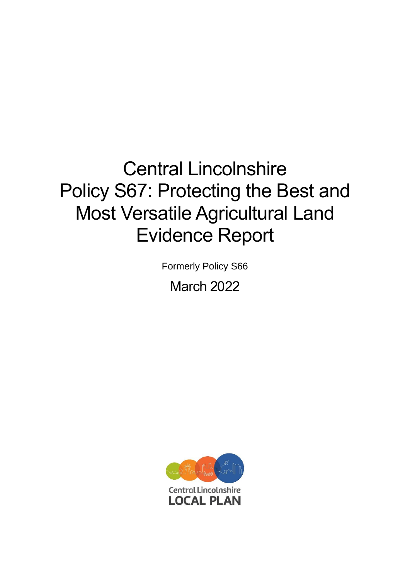# Central Lincolnshire Policy S67: Protecting the Best and Most Versatile Agricultural Land Evidence Report

Formerly Policy S66

March 2022

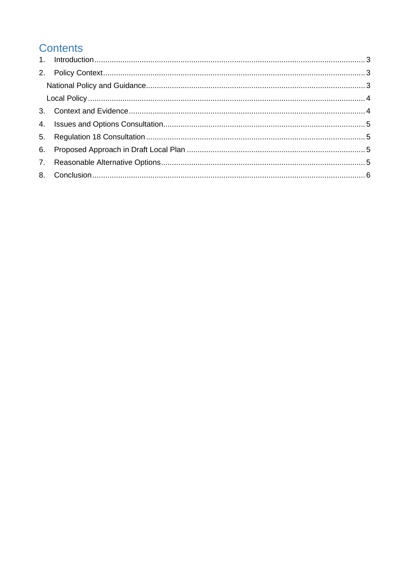# **Contents**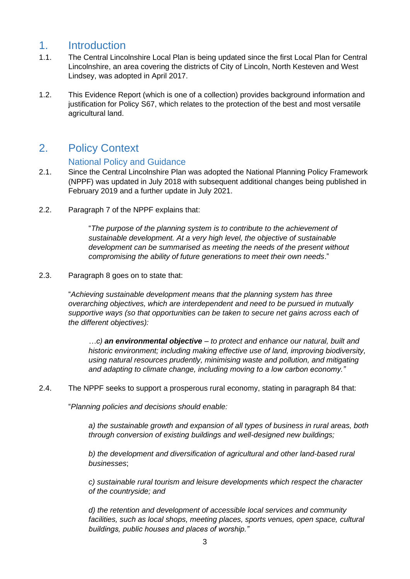## <span id="page-2-0"></span>1. Introduction

- 1.1. The Central Lincolnshire Local Plan is being updated since the first Local Plan for Central Lincolnshire, an area covering the districts of City of Lincoln, North Kesteven and West Lindsey, was adopted in April 2017.
- 1.2. This Evidence Report (which is one of a collection) provides background information and justification for Policy S67, which relates to the protection of the best and most versatile agricultural land.

# <span id="page-2-1"></span>2. Policy Context

#### National Policy and Guidance

- <span id="page-2-2"></span>2.1. Since the Central Lincolnshire Plan was adopted the National Planning Policy Framework (NPPF) was updated in July 2018 with subsequent additional changes being published in February 2019 and a further update in July 2021.
- 2.2. Paragraph 7 of the NPPF explains that:

"*The purpose of the planning system is to contribute to the achievement of sustainable development. At a very high level, the objective of sustainable development can be summarised as meeting the needs of the present without compromising the ability of future generations to meet their own needs*."

2.3. Paragraph 8 goes on to state that:

"*Achieving sustainable development means that the planning system has three overarching objectives, which are interdependent and need to be pursued in mutually supportive ways (so that opportunities can be taken to secure net gains across each of the different objectives):*

*…c) an environmental objective – to protect and enhance our natural, built and historic environment; including making effective use of land, improving biodiversity, using natural resources prudently, minimising waste and pollution, and mitigating and adapting to climate change, including moving to a low carbon economy."*

2.4. The NPPF seeks to support a prosperous rural economy, stating in paragraph 84 that:

"*Planning policies and decisions should enable:*

*a) the sustainable growth and expansion of all types of business in rural areas, both through conversion of existing buildings and well-designed new buildings;*

*b) the development and diversification of agricultural and other land-based rural businesses*;

*c) sustainable rural tourism and leisure developments which respect the character of the countryside; and*

*d) the retention and development of accessible local services and community facilities, such as local shops, meeting places, sports venues, open space, cultural buildings, public houses and places of worship."*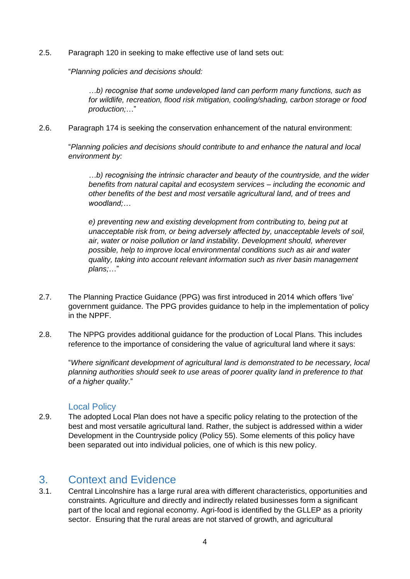2.5. Paragraph 120 in seeking to make effective use of land sets out:

"*Planning policies and decisions should:*

*…b) recognise that some undeveloped land can perform many functions, such as for wildlife, recreation, flood risk mitigation, cooling/shading, carbon storage or food production;*…"

2.6. Paragraph 174 is seeking the conservation enhancement of the natural environment:

"*Planning policies and decisions should contribute to and enhance the natural and local environment by:*

*…b) recognising the intrinsic character and beauty of the countryside, and the wider benefits from natural capital and ecosystem services – including the economic and other benefits of the best and most versatile agricultural land, and of trees and woodland;…*

*e) preventing new and existing development from contributing to, being put at unacceptable risk from, or being adversely affected by, unacceptable levels of soil, air, water or noise pollution or land instability. Development should, wherever possible, help to improve local environmental conditions such as air and water quality, taking into account relevant information such as river basin management plans;*…"

- 2.7. The Planning Practice Guidance (PPG) was first introduced in 2014 which offers 'live' government guidance. The PPG provides guidance to help in the implementation of policy in the NPPF.
- 2.8. The NPPG provides additional guidance for the production of Local Plans. This includes reference to the importance of considering the value of agricultural land where it says:

"*Where significant development of agricultural land is demonstrated to be necessary, local planning authorities should seek to use areas of poorer quality land in preference to that of a higher quality*."

#### Local Policy

<span id="page-3-0"></span>2.9. The adopted Local Plan does not have a specific policy relating to the protection of the best and most versatile agricultural land. Rather, the subject is addressed within a wider Development in the Countryside policy (Policy 55). Some elements of this policy have been separated out into individual policies, one of which is this new policy.

# <span id="page-3-1"></span>3. Context and Evidence

3.1. Central Lincolnshire has a large rural area with different characteristics, opportunities and constraints. Agriculture and directly and indirectly related businesses form a significant part of the local and regional economy. Agri-food is identified by the GLLEP as a priority sector. Ensuring that the rural areas are not starved of growth, and agricultural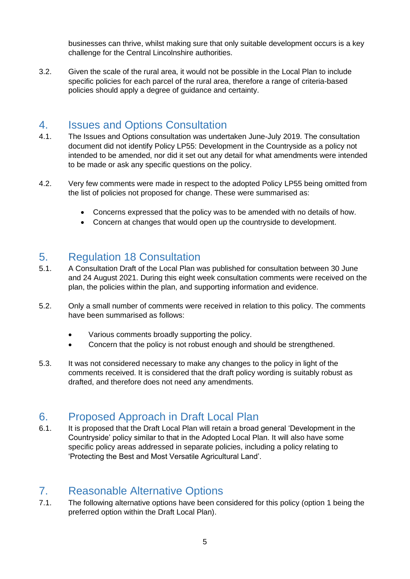businesses can thrive, whilst making sure that only suitable development occurs is a key challenge for the Central Lincolnshire authorities.

3.2. Given the scale of the rural area, it would not be possible in the Local Plan to include specific policies for each parcel of the rural area, therefore a range of criteria-based policies should apply a degree of guidance and certainty.

#### <span id="page-4-0"></span>4. Issues and Options Consultation

- 4.1. The Issues and Options consultation was undertaken June-July 2019. The consultation document did not identify Policy LP55: Development in the Countryside as a policy not intended to be amended, nor did it set out any detail for what amendments were intended to be made or ask any specific questions on the policy.
- 4.2. Very few comments were made in respect to the adopted Policy LP55 being omitted from the list of policies not proposed for change. These were summarised as:
	- Concerns expressed that the policy was to be amended with no details of how.
	- Concern at changes that would open up the countryside to development.

## <span id="page-4-1"></span>5. Regulation 18 Consultation

- 5.1. A Consultation Draft of the Local Plan was published for consultation between 30 June and 24 August 2021. During this eight week consultation comments were received on the plan, the policies within the plan, and supporting information and evidence.
- 5.2. Only a small number of comments were received in relation to this policy. The comments have been summarised as follows:
	- Various comments broadly supporting the policy.
	- Concern that the policy is not robust enough and should be strengthened.
- 5.3. It was not considered necessary to make any changes to the policy in light of the comments received. It is considered that the draft policy wording is suitably robust as drafted, and therefore does not need any amendments.

## <span id="page-4-2"></span>6. Proposed Approach in Draft Local Plan

6.1. It is proposed that the Draft Local Plan will retain a broad general 'Development in the Countryside' policy similar to that in the Adopted Local Plan. It will also have some specific policy areas addressed in separate policies, including a policy relating to 'Protecting the Best and Most Versatile Agricultural Land'.

# <span id="page-4-3"></span>7. Reasonable Alternative Options

7.1. The following alternative options have been considered for this policy (option 1 being the preferred option within the Draft Local Plan).